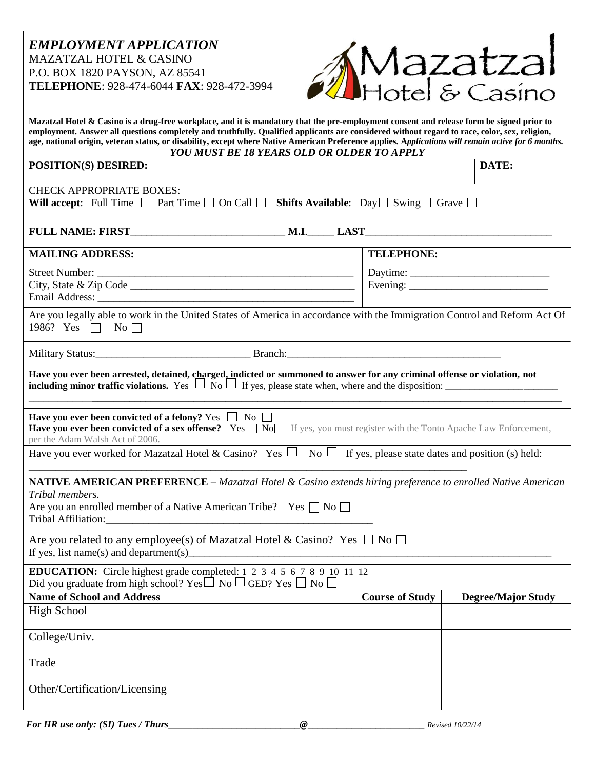## *EMPLOYMENT APPLICATION* MAZATZAL HOTEL & CASINO P.O. BOX 1820 PAYSON, AZ 85541 **TELEPHONE**: 928-474-6044 **FAX**: 928-472-3994



| Mazatzal Hotel & Casino is a drug-free workplace, and it is mandatory that the pre-employment consent and release form be signed prior to<br>employment. Answer all questions completely and truthfully. Qualified applicants are considered without regard to race, color, sex, religion,<br>age, national origin, veteran status, or disability, except where Native American Preference applies. Applications will remain active for 6 months.<br><b>YOU MUST BE 18 YEARS OLD OR OLDER TO APPLY</b> |                        |                           |  |  |
|--------------------------------------------------------------------------------------------------------------------------------------------------------------------------------------------------------------------------------------------------------------------------------------------------------------------------------------------------------------------------------------------------------------------------------------------------------------------------------------------------------|------------------------|---------------------------|--|--|
| POSITION(S) DESIRED:                                                                                                                                                                                                                                                                                                                                                                                                                                                                                   |                        | DATE:                     |  |  |
| <b>CHECK APPROPRIATE BOXES:</b><br>Will accept: Full Time $\Box$ Part Time $\Box$ On Call $\Box$ Shifts Available: Day $\Box$ Swing $\Box$ Grave $\Box$                                                                                                                                                                                                                                                                                                                                                |                        |                           |  |  |
|                                                                                                                                                                                                                                                                                                                                                                                                                                                                                                        |                        |                           |  |  |
| <b>MAILING ADDRESS:</b>                                                                                                                                                                                                                                                                                                                                                                                                                                                                                | <b>TELEPHONE:</b>      |                           |  |  |
|                                                                                                                                                                                                                                                                                                                                                                                                                                                                                                        | Evening: $\frac{1}{2}$ |                           |  |  |
| Are you legally able to work in the United States of America in accordance with the Immigration Control and Reform Act Of<br>1986? Yes $\Box$ No $\Box$                                                                                                                                                                                                                                                                                                                                                |                        |                           |  |  |
|                                                                                                                                                                                                                                                                                                                                                                                                                                                                                                        |                        |                           |  |  |
| Have you ever been arrested, detained, charged, indicted or summoned to answer for any criminal offense or violation, not                                                                                                                                                                                                                                                                                                                                                                              |                        |                           |  |  |
| Have you ever been convicted of a felony? Yes $\Box$ No $\Box$<br>Have you ever been convicted of a sex offense? Yes  Soll If yes, you must register with the Tonto Apache Law Enforcement,<br>per the Adam Walsh Act of 2006.                                                                                                                                                                                                                                                                         |                        |                           |  |  |
| Have you ever worked for Mazatzal Hotel & Casino? Yes $\Box$ No $\Box$ If yes, please state dates and position (s) held:                                                                                                                                                                                                                                                                                                                                                                               |                        |                           |  |  |
| <b>NATIVE AMERICAN PREFERENCE</b> – Mazatzal Hotel & Casino extends hiring preference to enrolled Native American<br>Tribal members.<br>Are you an enrolled member of a Native American Tribe? Yes $\Box$ No $\Box$                                                                                                                                                                                                                                                                                    |                        |                           |  |  |
| Are you related to any employee(s) of Mazatzal Hotel & Casino? Yes $\Box$ No $\Box$<br>If yes, list name(s) and department(s)                                                                                                                                                                                                                                                                                                                                                                          |                        |                           |  |  |
| <b>EDUCATION:</b> Circle highest grade completed: 1 2 3 4 5 6 7 8 9 10 11 12<br>Did you graduate from high school? Yes $\Box$ No $\Box$ GED? Yes $\Box$ No $\Box$                                                                                                                                                                                                                                                                                                                                      |                        |                           |  |  |
| <b>Name of School and Address</b>                                                                                                                                                                                                                                                                                                                                                                                                                                                                      | <b>Course of Study</b> | <b>Degree/Major Study</b> |  |  |
| <b>High School</b>                                                                                                                                                                                                                                                                                                                                                                                                                                                                                     |                        |                           |  |  |
| College/Univ.                                                                                                                                                                                                                                                                                                                                                                                                                                                                                          |                        |                           |  |  |
| Trade                                                                                                                                                                                                                                                                                                                                                                                                                                                                                                  |                        |                           |  |  |
| Other/Certification/Licensing                                                                                                                                                                                                                                                                                                                                                                                                                                                                          |                        |                           |  |  |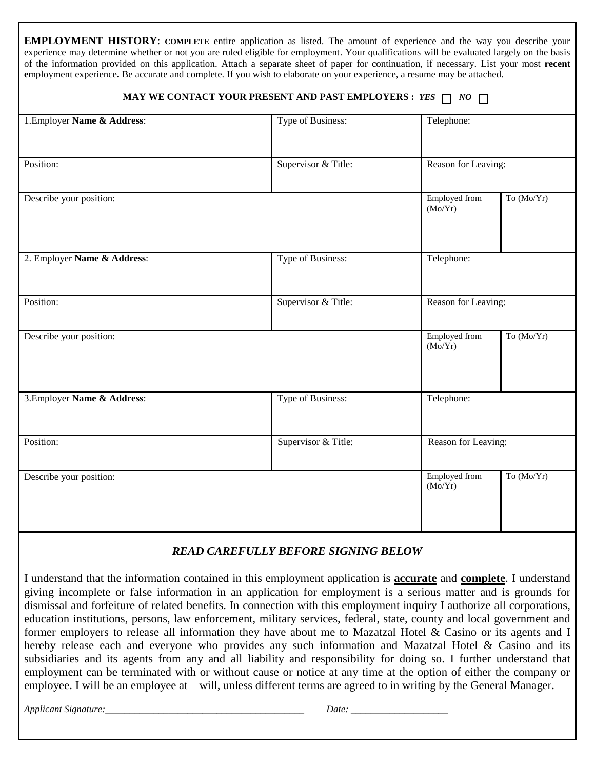| <b>EMPLOYMENT HISTORY:</b> COMPLETE entire application as listed. The amount of experience and the way you describe your<br>experience may determine whether or not you are ruled eligible for employment. Your qualifications will be evaluated largely on the basis<br>of the information provided on this application. Attach a separate sheet of paper for continuation, if necessary. List your most recent<br>employment experience. Be accurate and complete. If you wish to elaborate on your experience, a resume may be attached. |                     |                                 |              |  |
|---------------------------------------------------------------------------------------------------------------------------------------------------------------------------------------------------------------------------------------------------------------------------------------------------------------------------------------------------------------------------------------------------------------------------------------------------------------------------------------------------------------------------------------------|---------------------|---------------------------------|--------------|--|
| MAY WE CONTACT YOUR PRESENT AND PAST EMPLOYERS : YES $\Box$ NO $\Box$                                                                                                                                                                                                                                                                                                                                                                                                                                                                       |                     |                                 |              |  |
| 1. Employer Name & Address:                                                                                                                                                                                                                                                                                                                                                                                                                                                                                                                 | Type of Business:   | Telephone:                      |              |  |
|                                                                                                                                                                                                                                                                                                                                                                                                                                                                                                                                             |                     |                                 |              |  |
| Position:                                                                                                                                                                                                                                                                                                                                                                                                                                                                                                                                   | Supervisor & Title: | Reason for Leaving:             |              |  |
| Describe your position:                                                                                                                                                                                                                                                                                                                                                                                                                                                                                                                     |                     | Employed from<br>(Mo/Yr)        | To $(Mo/Yr)$ |  |
| 2. Employer Name & Address:                                                                                                                                                                                                                                                                                                                                                                                                                                                                                                                 | Type of Business:   | Telephone:                      |              |  |
| Position:                                                                                                                                                                                                                                                                                                                                                                                                                                                                                                                                   | Supervisor & Title: | Reason for Leaving:             |              |  |
| Describe your position:                                                                                                                                                                                                                                                                                                                                                                                                                                                                                                                     |                     | <b>Employed</b> from<br>(Mo/Yr) | To (Mo/Yr)   |  |
| 3. Employer Name & Address:                                                                                                                                                                                                                                                                                                                                                                                                                                                                                                                 | Type of Business:   | Telephone:                      |              |  |
| Position:                                                                                                                                                                                                                                                                                                                                                                                                                                                                                                                                   | Supervisor & Title: | Reason for Leaving:             |              |  |
| Describe your position:                                                                                                                                                                                                                                                                                                                                                                                                                                                                                                                     |                     | Employed from<br>(Mo/Yr)        | To (Mo/Yr)   |  |
| <b>READ CAREFULLY BEFORE SIGNING BELOW</b>                                                                                                                                                                                                                                                                                                                                                                                                                                                                                                  |                     |                                 |              |  |

I understand that the information contained in this employment application is **accurate** and **complete**. I understand giving incomplete or false information in an application for employment is a serious matter and is grounds for dismissal and forfeiture of related benefits. In connection with this employment inquiry I authorize all corporations, education institutions, persons, law enforcement, military services, federal, state, county and local government and former employers to release all information they have about me to Mazatzal Hotel & Casino or its agents and I hereby release each and everyone who provides any such information and Mazatzal Hotel & Casino and its subsidiaries and its agents from any and all liability and responsibility for doing so. I further understand that employment can be terminated with or without cause or notice at any time at the option of either the company or employee. I will be an employee at – will, unless different terms are agreed to in writing by the General Manager.

*Applicant Signature:\_\_\_\_\_\_\_\_\_\_\_\_\_\_\_\_\_\_\_\_\_\_\_\_\_\_\_\_\_\_\_\_\_\_\_\_\_\_\_\_\_ Date: \_\_\_\_\_\_\_\_\_\_\_\_\_\_\_\_\_\_\_\_*